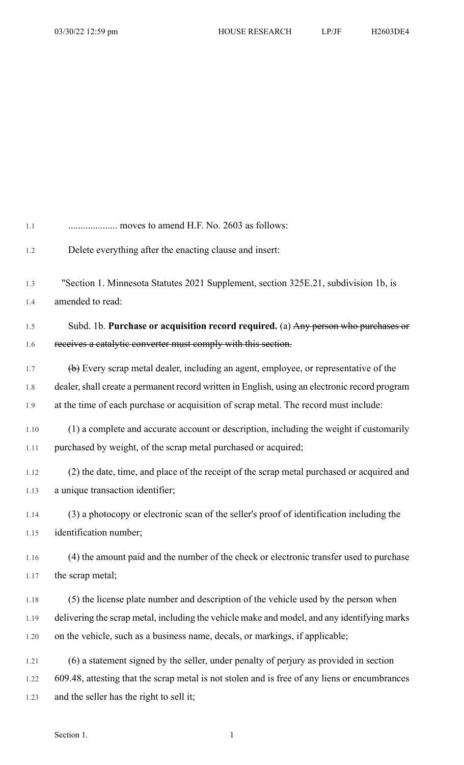| 1.1  | moves to amend H.F. No. 2603 as follows:                                                                    |
|------|-------------------------------------------------------------------------------------------------------------|
| 1.2  | Delete everything after the enacting clause and insert:                                                     |
| 1.3  | "Section 1. Minnesota Statutes 2021 Supplement, section 325E.21, subdivision 1b, is                         |
| 1.4  | amended to read:                                                                                            |
| 1.5  | Subd. 1b. Purchase or acquisition record required. (a) Any person who purchases or                          |
| 1.6  | receives a catalytic converter must comply with this section.                                               |
| 1.7  | $\left(\frac{b}{c}\right)$ Every scrap metal dealer, including an agent, employee, or representative of the |
| 1.8  | dealer, shall create a permanent record written in English, using an electronic record program              |
| 1.9  | at the time of each purchase or acquisition of scrap metal. The record must include:                        |
| 1.10 | (1) a complete and accurate account or description, including the weight if customarily                     |
| 1.11 | purchased by weight, of the scrap metal purchased or acquired;                                              |
| 1.12 | (2) the date, time, and place of the receipt of the scrap metal purchased or acquired and                   |
| 1.13 | a unique transaction identifier;                                                                            |
| 1.14 | (3) a photocopy or electronic scan of the seller's proof of identification including the                    |
| 1.15 | identification number;                                                                                      |
| 1.16 | (4) the amount paid and the number of the check or electronic transfer used to purchase                     |
| 1.17 | the scrap metal;                                                                                            |
| 1.18 | (5) the license plate number and description of the vehicle used by the person when                         |
| 1.19 | delivering the scrap metal, including the vehicle make and model, and any identifying marks                 |
| 1.20 | on the vehicle, such as a business name, decals, or markings, if applicable;                                |
| 1.21 | (6) a statement signed by the seller, under penalty of perjury as provided in section                       |
| 1.22 | 609.48, attesting that the scrap metal is not stolen and is free of any liens or encumbrances               |
| 1.23 | and the seller has the right to sell it;                                                                    |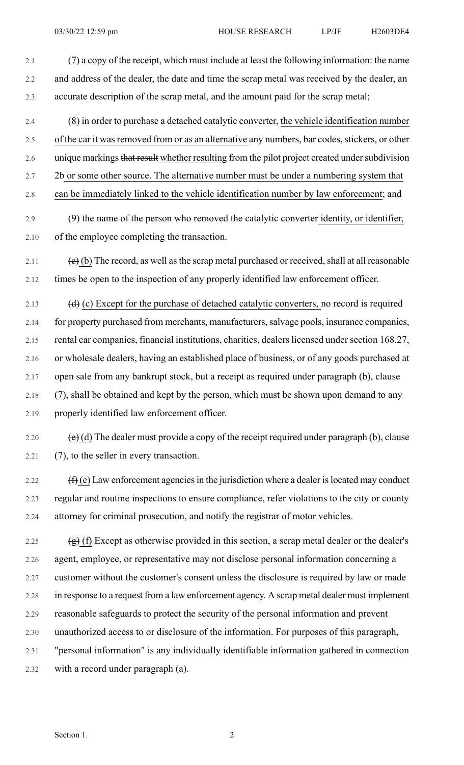2.1 (7) a copy of the receipt, which must include at least the following information: the name 2.2 and address of the dealer, the date and time the scrap metal was received by the dealer, an 2.3 accurate description of the scrap metal, and the amount paid for the scrap metal;

- 2.4 (8) in order to purchase a detached catalytic converter, the vehicle identification number 2.5 of the car it was removed from or as an alternative any numbers, bar codes, stickers, or other 2.6 unique markings that result whether resulting from the pilot project created under subdivision 2.7 2b or some other source. The alternative number must be under a numbering system that
- 2.8 can be immediately linked to the vehicle identification number by law enforcement; and
- 2.9 (9) the name of the person who removed the catalytic converter identity, or identifier, 2.10 of the employee completing the transaction.
- 2.11 (e) (b) The record, as well as the scrap metal purchased or received, shall at all reasonable 2.12 times be open to the inspection of any properly identified law enforcement officer.
- 2.13  $(d)$  (c) Except for the purchase of detached catalytic converters, no record is required 2.14 for property purchased from merchants, manufacturers, salvage pools, insurance companies, 2.15 rental car companies, financial institutions, charities, dealers licensed under section 168.27, 2.16 or wholesale dealers, having an established place of business, or of any goods purchased at 2.17 open sale from any bankrupt stock, but a receipt as required under paragraph (b), clause 2.18 (7), shall be obtained and kept by the person, which must be shown upon demand to any 2.19 properly identified law enforcement officer.
- 2.20 (e) (d) The dealer must provide a copy of the receipt required under paragraph (b), clause 2.21 (7), to the seller in every transaction.
- 2.22  $(f)(e)$  Law enforcement agencies in the jurisdiction where a dealer is located may conduct 2.23 regular and routine inspections to ensure compliance, refer violations to the city or county 2.24 attorney for criminal prosecution, and notify the registrar of motor vehicles.
- 2.25  $(g)$  (f) Except as otherwise provided in this section, a scrap metal dealer or the dealer's 2.26 agent, employee, or representative may not disclose personal information concerning a 2.27 customer without the customer's consent unless the disclosure is required by law or made 2.28 in response to a request from a law enforcement agency. A scrap metal dealer must implement 2.29 reasonable safeguards to protect the security of the personal information and prevent 2.30 unauthorized access to or disclosure of the information. For purposes of this paragraph, 2.31 "personal information" is any individually identifiable information gathered in connection 2.32 with a record under paragraph (a).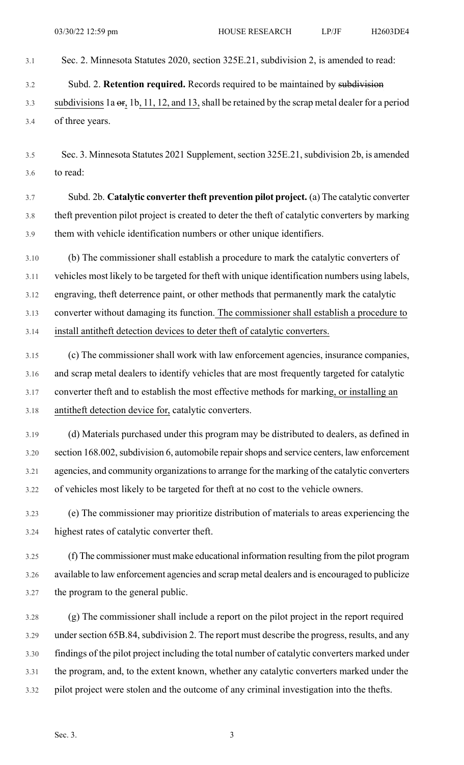3.1 Sec. 2. Minnesota Statutes 2020, section 325E.21, subdivision 2, is amended to read:

3.2 Subd. 2. **Retention required.** Records required to be maintained by subdivision

3.3 subdivisions 1a  $er$ , 1b, 11, 12, and 13, shall be retained by the scrap metal dealer for a period 3.4 of three years.

3.5 Sec. 3. Minnesota Statutes 2021 Supplement, section 325E.21, subdivision 2b, is amended 3.6 to read:

3.7 Subd. 2b. **Catalytic converter theft prevention pilot project.** (a) The catalytic converter 3.8 theft prevention pilot project is created to deter the theft of catalytic converters by marking 3.9 them with vehicle identification numbers or other unique identifiers.

3.10 (b) The commissioner shall establish a procedure to mark the catalytic converters of 3.11 vehicles most likely to be targeted for theft with unique identification numbers using labels, 3.12 engraving, theft deterrence paint, or other methods that permanently mark the catalytic 3.13 converter without damaging its function. The commissioner shall establish a procedure to 3.14 install antitheft detection devices to deter theft of catalytic converters.

3.15 (c) The commissioner shall work with law enforcement agencies, insurance companies, 3.16 and scrap metal dealers to identify vehicles that are most frequently targeted for catalytic 3.17 converter theft and to establish the most effective methods for marking, or installing an 3.18 antitheft detection device for, catalytic converters.

3.19 (d) Materials purchased under this program may be distributed to dealers, as defined in 3.20 section 168.002, subdivision 6, automobile repair shops and service centers, law enforcement 3.21 agencies, and community organizationsto arrange for the marking of the catalytic converters 3.22 of vehicles most likely to be targeted for theft at no cost to the vehicle owners.

3.23 (e) The commissioner may prioritize distribution of materials to areas experiencing the 3.24 highest rates of catalytic converter theft.

3.25 (f) The commissioner must make educational information resulting from the pilot program 3.26 available to law enforcement agencies and scrap metal dealers and is encouraged to publicize 3.27 the program to the general public.

3.28 (g) The commissioner shall include a report on the pilot project in the report required 3.29 under section 65B.84, subdivision 2. The report must describe the progress, results, and any 3.30 findings of the pilot project including the total number of catalytic converters marked under 3.31 the program, and, to the extent known, whether any catalytic converters marked under the 3.32 pilot project were stolen and the outcome of any criminal investigation into the thefts.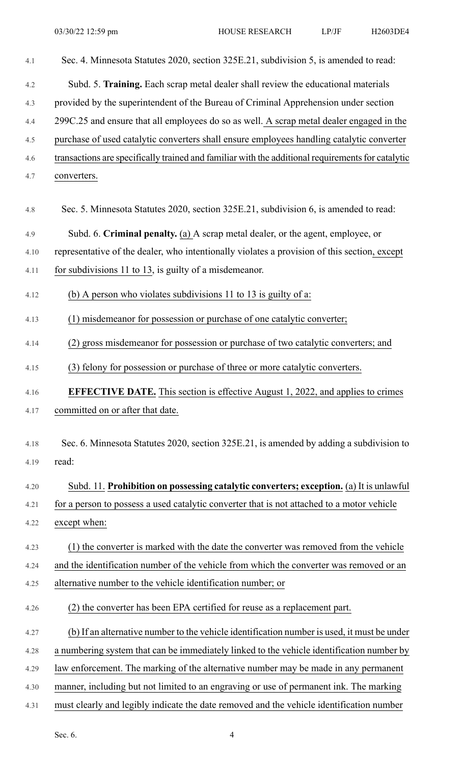| 4.1  | Sec. 4. Minnesota Statutes 2020, section 325E.21, subdivision 5, is amended to read:              |
|------|---------------------------------------------------------------------------------------------------|
| 4.2  | Subd. 5. Training. Each scrap metal dealer shall review the educational materials                 |
| 4.3  | provided by the superintendent of the Bureau of Criminal Apprehension under section               |
| 4.4  | 299C.25 and ensure that all employees do so as well. A scrap metal dealer engaged in the          |
| 4.5  | purchase of used catalytic converters shall ensure employees handling catalytic converter         |
| 4.6  | transactions are specifically trained and familiar with the additional requirements for catalytic |
| 4.7  | converters.                                                                                       |
| 4.8  | Sec. 5. Minnesota Statutes 2020, section 325E.21, subdivision 6, is amended to read:              |
| 4.9  | Subd. 6. Criminal penalty. (a) A scrap metal dealer, or the agent, employee, or                   |
| 4.10 | representative of the dealer, who intentionally violates a provision of this section, except      |
| 4.11 | for subdivisions 11 to $13$ , is guilty of a misdemeanor.                                         |
| 4.12 | (b) A person who violates subdivisions 11 to 13 is guilty of a:                                   |
| 4.13 | (1) misdemeanor for possession or purchase of one catalytic converter;                            |
| 4.14 | (2) gross misdemeanor for possession or purchase of two catalytic converters; and                 |
| 4.15 | (3) felony for possession or purchase of three or more catalytic converters.                      |
| 4.16 | <b>EFFECTIVE DATE.</b> This section is effective August 1, 2022, and applies to crimes            |
| 4.17 | committed on or after that date.                                                                  |
| 4.18 | Sec. 6. Minnesota Statutes 2020, section 325E.21, is amended by adding a subdivision to           |
| 4.19 | read:                                                                                             |
|      |                                                                                                   |
| 4.20 | Subd. 11. Prohibition on possessing catalytic converters; exception. (a) It is unlawful           |
| 4.21 | for a person to possess a used catalytic converter that is not attached to a motor vehicle        |
| 4.22 | except when:                                                                                      |
| 4.23 | (1) the converter is marked with the date the converter was removed from the vehicle              |
| 4.24 | and the identification number of the vehicle from which the converter was removed or an           |
| 4.25 | alternative number to the vehicle identification number; or                                       |
| 4.26 | (2) the converter has been EPA certified for reuse as a replacement part.                         |
| 4.27 | (b) If an alternative number to the vehicle identification number is used, it must be under       |
| 4.28 | a numbering system that can be immediately linked to the vehicle identification number by         |
| 4.29 | law enforcement. The marking of the alternative number may be made in any permanent               |
| 4.30 | manner, including but not limited to an engraving or use of permanent ink. The marking            |
| 4.31 | must clearly and legibly indicate the date removed and the vehicle identification number          |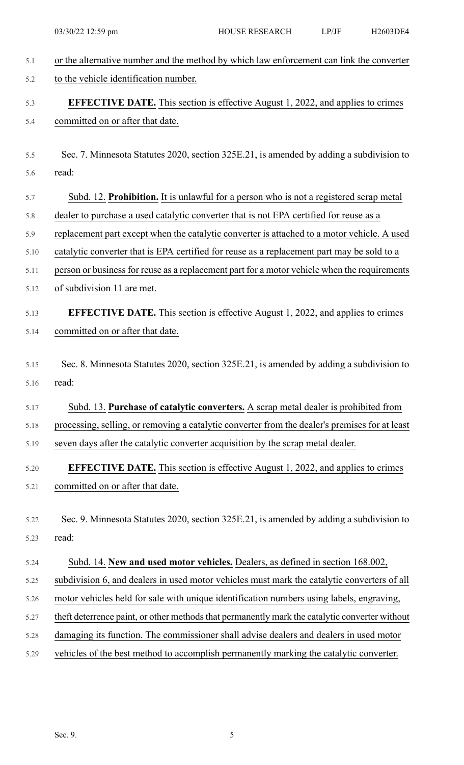| 5.1  | or the alternative number and the method by which law enforcement can link the converter       |
|------|------------------------------------------------------------------------------------------------|
| 5.2  | to the vehicle identification number.                                                          |
| 5.3  | <b>EFFECTIVE DATE.</b> This section is effective August 1, 2022, and applies to crimes         |
| 5.4  | committed on or after that date.                                                               |
|      |                                                                                                |
| 5.5  | Sec. 7. Minnesota Statutes 2020, section 325E.21, is amended by adding a subdivision to        |
| 5.6  | read:                                                                                          |
| 5.7  | Subd. 12. Prohibition. It is unlawful for a person who is not a registered scrap metal         |
| 5.8  | dealer to purchase a used catalytic converter that is not EPA certified for reuse as a         |
| 5.9  | replacement part except when the catalytic converter is attached to a motor vehicle. A used    |
| 5.10 | catalytic converter that is EPA certified for reuse as a replacement part may be sold to a     |
| 5.11 | person or business for reuse as a replacement part for a motor vehicle when the requirements   |
| 5.12 | of subdivision 11 are met.                                                                     |
| 5.13 | <b>EFFECTIVE DATE.</b> This section is effective August 1, 2022, and applies to crimes         |
| 5.14 | committed on or after that date.                                                               |
|      |                                                                                                |
| 5.15 | Sec. 8. Minnesota Statutes 2020, section 325E.21, is amended by adding a subdivision to        |
| 5.16 | read:                                                                                          |
| 5.17 | Subd. 13. Purchase of catalytic converters. A scrap metal dealer is prohibited from            |
| 5.18 | processing, selling, or removing a catalytic converter from the dealer's premises for at least |
| 5.19 | seven days after the catalytic converter acquisition by the scrap metal dealer.                |
| 5.20 | <b>EFFECTIVE DATE.</b> This section is effective August 1, 2022, and applies to crimes         |
| 5.21 | committed on or after that date.                                                               |
|      |                                                                                                |
| 5.22 | Sec. 9. Minnesota Statutes 2020, section 325E.21, is amended by adding a subdivision to        |
| 5.23 | read:                                                                                          |
| 5.24 | Subd. 14. New and used motor vehicles. Dealers, as defined in section 168.002,                 |
| 5.25 | subdivision 6, and dealers in used motor vehicles must mark the catalytic converters of all    |
| 5.26 | motor vehicles held for sale with unique identification numbers using labels, engraving,       |
| 5.27 | theft deterrence paint, or other methods that permanently mark the catalytic converter without |
| 5.28 | damaging its function. The commissioner shall advise dealers and dealers in used motor         |
| 5.29 | vehicles of the best method to accomplish permanently marking the catalytic converter.         |